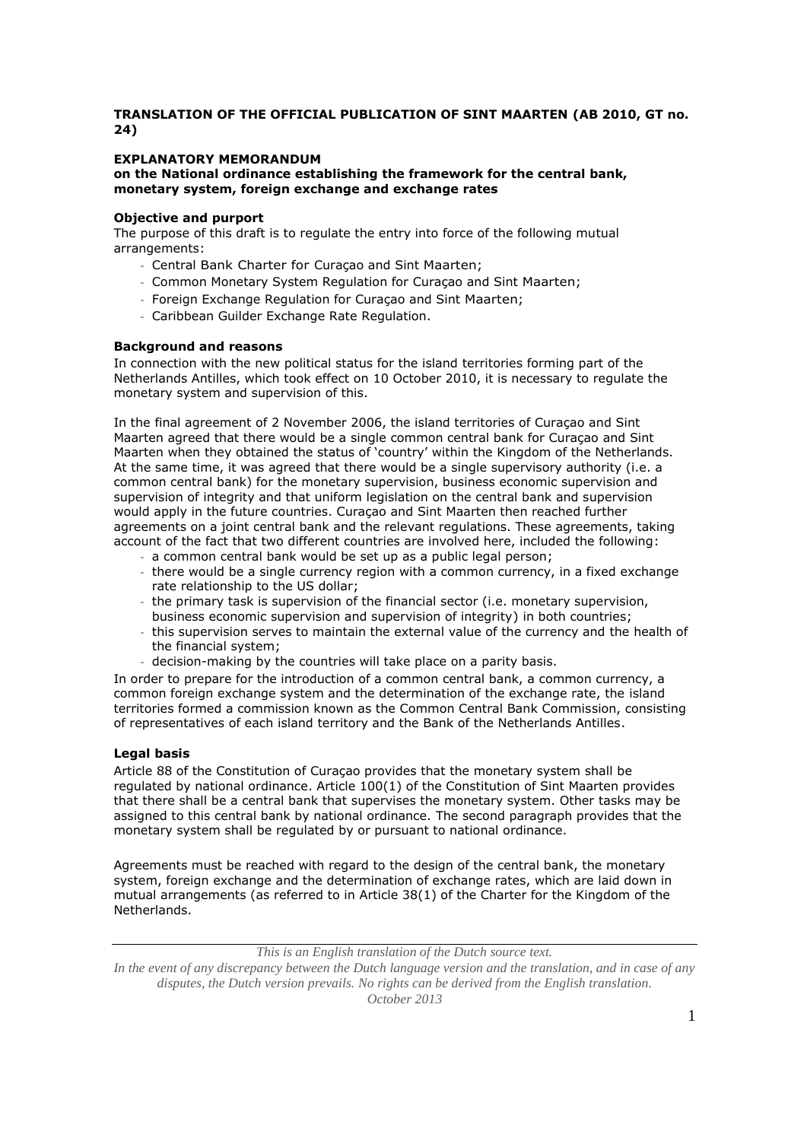# **TRANSLATION OF THE OFFICIAL PUBLICATION OF SINT MAARTEN (AB 2010, GT no. 24)**

## **EXPLANATORY MEMORANDUM**

**on the National ordinance establishing the framework for the central bank, monetary system, foreign exchange and exchange rates**

### **Objective and purport**

The purpose of this draft is to regulate the entry into force of the following mutual arrangements:

- Central Bank Charter for Curaçao and Sint Maarten;
- Common Monetary System Regulation for Curaçao and Sint Maarten;
- Foreign Exchange Regulation for Curaçao and Sint Maarten;
- Caribbean Guilder Exchange Rate Regulation.

### **Background and reasons**

In connection with the new political status for the island territories forming part of the Netherlands Antilles, which took effect on 10 October 2010, it is necessary to regulate the monetary system and supervision of this.

In the final agreement of 2 November 2006, the island territories of Curaçao and Sint Maarten agreed that there would be a single common central bank for Curaçao and Sint Maarten when they obtained the status of 'country' within the Kingdom of the Netherlands. At the same time, it was agreed that there would be a single supervisory authority (i.e. a common central bank) for the monetary supervision, business economic supervision and supervision of integrity and that uniform legislation on the central bank and supervision would apply in the future countries. Curaçao and Sint Maarten then reached further agreements on a joint central bank and the relevant regulations. These agreements, taking account of the fact that two different countries are involved here, included the following:

- a common central bank would be set up as a public legal person;
- there would be a single currency region with a common currency, in a fixed exchange rate relationship to the US dollar;
- the primary task is supervision of the financial sector (i.e. monetary supervision, business economic supervision and supervision of integrity) in both countries;
- this supervision serves to maintain the external value of the currency and the health of the financial system;
- decision-making by the countries will take place on a parity basis.

In order to prepare for the introduction of a common central bank, a common currency, a common foreign exchange system and the determination of the exchange rate, the island territories formed a commission known as the Common Central Bank Commission, consisting of representatives of each island territory and the Bank of the Netherlands Antilles.

## **Legal basis**

Article 88 of the Constitution of Curaçao provides that the monetary system shall be regulated by national ordinance. Article 100(1) of the Constitution of Sint Maarten provides that there shall be a central bank that supervises the monetary system. Other tasks may be assigned to this central bank by national ordinance. The second paragraph provides that the monetary system shall be regulated by or pursuant to national ordinance.

Agreements must be reached with regard to the design of the central bank, the monetary system, foreign exchange and the determination of exchange rates, which are laid down in mutual arrangements (as referred to in Article 38(1) of the Charter for the Kingdom of the Netherlands.

*This is an English translation of the Dutch source text.*

*In the event of any discrepancy between the Dutch language version and the translation, and in case of any disputes, the Dutch version prevails. No rights can be derived from the English translation. October 2013*